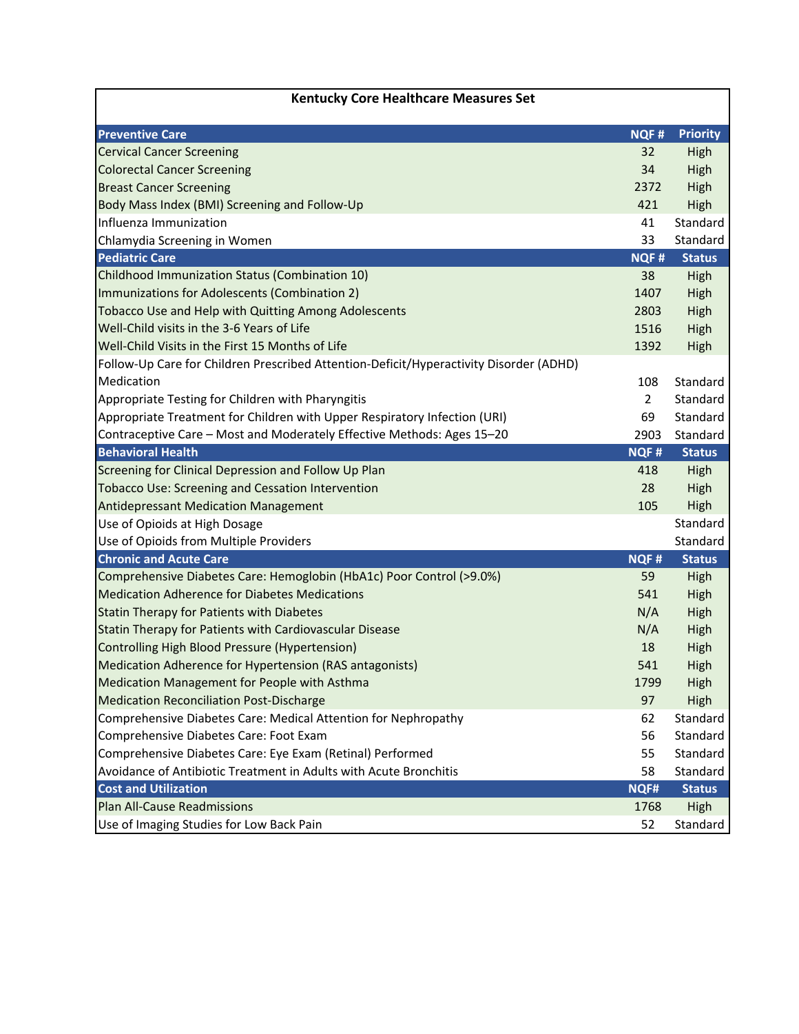| <b>Kentucky Core Healthcare Measures Set</b>                                           |                |                 |
|----------------------------------------------------------------------------------------|----------------|-----------------|
| <b>Preventive Care</b>                                                                 | <b>NQF#</b>    | <b>Priority</b> |
| <b>Cervical Cancer Screening</b>                                                       | 32             | High            |
| <b>Colorectal Cancer Screening</b>                                                     | 34             | High            |
| <b>Breast Cancer Screening</b>                                                         | 2372           | High            |
| Body Mass Index (BMI) Screening and Follow-Up                                          | 421            | High            |
| Influenza Immunization                                                                 | 41             | Standard        |
| Chlamydia Screening in Women                                                           | 33             | Standard        |
| <b>Pediatric Care</b>                                                                  | <b>NQF#</b>    | <b>Status</b>   |
| Childhood Immunization Status (Combination 10)                                         | 38             | High            |
| Immunizations for Adolescents (Combination 2)                                          | 1407           | High            |
| Tobacco Use and Help with Quitting Among Adolescents                                   | 2803           | High            |
| Well-Child visits in the 3-6 Years of Life                                             | 1516           | High            |
| Well-Child Visits in the First 15 Months of Life                                       | 1392           | High            |
| Follow-Up Care for Children Prescribed Attention-Deficit/Hyperactivity Disorder (ADHD) |                |                 |
| Medication                                                                             | 108            | Standard        |
| Appropriate Testing for Children with Pharyngitis                                      | $\overline{2}$ | Standard        |
| Appropriate Treatment for Children with Upper Respiratory Infection (URI)              | 69             | Standard        |
| Contraceptive Care - Most and Moderately Effective Methods: Ages 15-20                 | 2903           | Standard        |
| <b>Behavioral Health</b>                                                               | <b>NQF#</b>    | <b>Status</b>   |
| Screening for Clinical Depression and Follow Up Plan                                   | 418            | High            |
| <b>Tobacco Use: Screening and Cessation Intervention</b>                               | 28             | High            |
| <b>Antidepressant Medication Management</b>                                            | 105            | High            |
| Use of Opioids at High Dosage                                                          |                | Standard        |
| Use of Opioids from Multiple Providers                                                 |                | Standard        |
| <b>Chronic and Acute Care</b>                                                          | <b>NQF#</b>    | <b>Status</b>   |
| Comprehensive Diabetes Care: Hemoglobin (HbA1c) Poor Control (>9.0%)                   | 59             | High            |
| <b>Medication Adherence for Diabetes Medications</b>                                   | 541            | High            |
| Statin Therapy for Patients with Diabetes                                              | N/A            | High            |
| Statin Therapy for Patients with Cardiovascular Disease                                | N/A            | High            |
| Controlling High Blood Pressure (Hypertension)                                         | 18             | High            |
| Medication Adherence for Hypertension (RAS antagonists)                                | 541            | High            |
| Medication Management for People with Asthma                                           | 1799           | High            |
| <b>Medication Reconciliation Post-Discharge</b>                                        | 97             | High            |
| Comprehensive Diabetes Care: Medical Attention for Nephropathy                         | 62             | Standard        |
| Comprehensive Diabetes Care: Foot Exam                                                 | 56             | Standard        |
| Comprehensive Diabetes Care: Eye Exam (Retinal) Performed                              | 55             | Standard        |
| Avoidance of Antibiotic Treatment in Adults with Acute Bronchitis                      | 58             | Standard        |
| <b>Cost and Utilization</b>                                                            | NQF#           | <b>Status</b>   |
| <b>Plan All-Cause Readmissions</b>                                                     | 1768           | High            |
| Use of Imaging Studies for Low Back Pain                                               | 52             | Standard        |